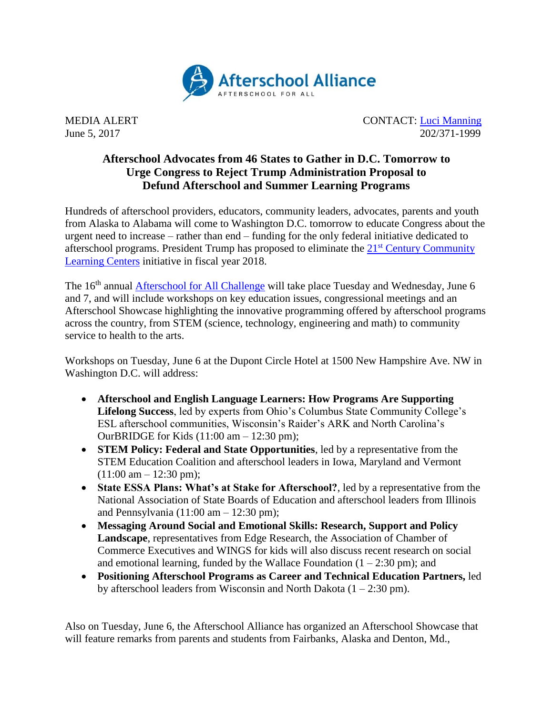

MEDIA ALERT CONTACT: [Luci Manning](mailto:luci@prsolutionsdc.com) June 5, 2017 202/371-1999

## **Afterschool Advocates from 46 States to Gather in D.C. Tomorrow to Urge Congress to Reject Trump Administration Proposal to Defund Afterschool and Summer Learning Programs**

Hundreds of afterschool providers, educators, community leaders, advocates, parents and youth from Alaska to Alabama will come to Washington D.C. tomorrow to educate Congress about the urgent need to increase – rather than end – funding for the only federal initiative dedicated to afterschool programs. President Trump has proposed to eliminate the 21st [Century Community](http://www.afterschoolalliance.org/policy21stcclc.cfm)  [Learning Centers](http://www.afterschoolalliance.org/policy21stcclc.cfm) initiative in fiscal year 2018.

The 16<sup>th</sup> annual **Afterschool for All Challenge** will take place Tuesday and Wednesday, June 6 and 7, and will include workshops on key education issues, congressional meetings and an Afterschool Showcase highlighting the innovative programming offered by afterschool programs across the country, from STEM (science, technology, engineering and math) to community service to health to the arts.

Workshops on Tuesday, June 6 at the Dupont Circle Hotel at 1500 New Hampshire Ave. NW in Washington D.C. will address:

- **Afterschool and English Language Learners: How Programs Are Supporting Lifelong Success**, led by experts from Ohio's Columbus State Community College's ESL afterschool communities, Wisconsin's Raider's ARK and North Carolina's OurBRIDGE for Kids (11:00 am – 12:30 pm);
- **STEM Policy: Federal and State Opportunities**, led by a representative from the STEM Education Coalition and afterschool leaders in Iowa, Maryland and Vermont  $(11:00 \text{ am} - 12:30 \text{ pm});$
- **State ESSA Plans: What's at Stake for Afterschool?**, led by a representative from the National Association of State Boards of Education and afterschool leaders from Illinois and Pennsylvania  $(11:00 \text{ am} - 12:30 \text{ pm})$ ;
- **Messaging Around Social and Emotional Skills: Research, Support and Policy Landscape**, representatives from Edge Research, the Association of Chamber of Commerce Executives and WINGS for kids will also discuss recent research on social and emotional learning, funded by the Wallace Foundation  $(1 – 2:30 \text{ pm})$ ; and
- **Positioning Afterschool Programs as Career and Technical Education Partners,** led by afterschool leaders from Wisconsin and North Dakota  $(1 – 2:30 \text{ pm})$ .

Also on Tuesday, June 6, the Afterschool Alliance has organized an Afterschool Showcase that will feature remarks from parents and students from Fairbanks, Alaska and Denton, Md.,